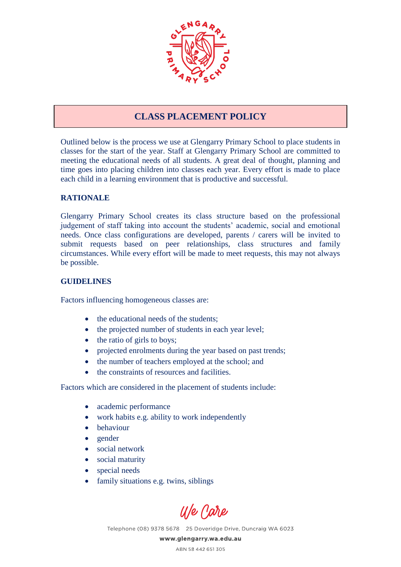

## **CLASS PLACEMENT POLICY**

Outlined below is the process we use at Glengarry Primary School to place students in classes for the start of the year. Staff at Glengarry Primary School are committed to meeting the educational needs of all students. A great deal of thought, planning and time goes into placing children into classes each year. Every effort is made to place each child in a learning environment that is productive and successful.

## **RATIONALE**

Glengarry Primary School creates its class structure based on the professional judgement of staff taking into account the students' academic, social and emotional needs. Once class configurations are developed, parents / carers will be invited to submit requests based on peer relationships, class structures and family circumstances. While every effort will be made to meet requests, this may not always be possible.

## **GUIDELINES**

Factors influencing homogeneous classes are:

- the educational needs of the students:
- the projected number of students in each year level;
- the ratio of girls to boys;
- projected enrolments during the year based on past trends;
- the number of teachers employed at the school; and
- the constraints of resources and facilities.

Factors which are considered in the placement of students include:

- academic performance
- work habits e.g. ability to work independently
- behaviour
- gender
- social network
- social maturity
- special needs
- family situations e.g. twins, siblings

U/e Care

Telephone (08) 9378 5678 25 Doveridge Drive, Duncraig WA 6023

www.glengarry.wa.edu.au

ABN 58 442 651 305